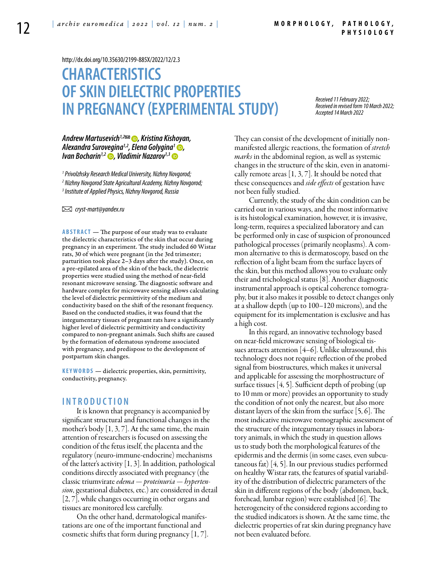<http://dx.doi.org/10.35630/2199-885X/2022/12/2.3>

# **CHARACTERISTICS OF SKIN DIELECTRIC PROPERTIES IN PREGNANCY (EXPERIMENTAL STUDY)**

*Received 11 February 2022; Received in revised form 10 March 2022; Accepted 14 March 2022*

## *[Andrew Martusevich1](https://orcid.org/0000-0002-0818-5316),2 , Kristina Kishoyan, Alexandra Surovegina1,2, [Elena Golygina1](https://orcid.org/0000-0001-6113-2267) , Ivan Bocharin<sup>1,2</sup> •, Vladimir Nazarov<sup>1,3</sup> •*

*1 Privolzhsky Research Medical University, Nizhny Novgorod; 2 Nizhny Novgorod State Agricultural Academy, Nizhny Novgorod; 3 Institute of Applied Physics, Nizhny Novgorod, Russia*

 *cryst-mart@yandex.ru*

**Abstract** — The purpose of our study was to evaluate the dielectric characteristics of the skin that occur during pregnancy in an experiment. The study included 60 Wistar rats, 30 of which were pregnant (in the 3rd trimester; parturition took place 2–3 days after the study). Once, on a pre-epilated area of the skin of the back, the dielectric properties were studied using the method of near-field resonant microwave sensing. The diagnostic software and hardware complex for microwave sensing allows calculating the level of dielectric permittivity of the medium and conductivity based on the shift of the resonant frequency. Based on the conducted studies, it was found that the integumentary tissues of pregnant rats have a significantly higher level of dielectric permittivity and conductivity compared to non-pregnant animals. Such shifts are caused by the formation of edematous syndrome associated with pregnancy, and predispose to the development of postpartum skin changes.

**K eywords** — dielectric properties, skin, permittivity, conductivity, pregnancy.

### **I n t r o ducti o n**

It is known that pregnancy is accompanied by significant structural and functional changes in the mother's body [1, 3, 7]. At the same time, the main attention of researchers is focused on assessing the condition of the fetus itself, the placenta and the regulatory (neuro-immune-endocrine) mechanisms of the latter's activity  $\left[1, 3\right]$ . In addition, pathological conditions directly associated with pregnancy (the classic triumvirate *edema — proteinuria — hypertension*, gestational diabetes, etc.) are considered in detail [2, 7], while changes occurring in other organs and tissues are monitored less carefully.

On the other hand, dermatological manifestations are one of the important functional and cosmetic shifts that form during pregnancy [1, 7]. They can consist of the development of initially nonmanifested allergic reactions, the formation of *stretch marks* in the abdominal region, as well as systemic changes in the structure of the skin, even in anatomically remote areas [1, 3, 7]. It should be noted that these consequences and *side effects* of gestation have not been fully studied.

Currently, the study of the skin condition can be carried out in various ways, and the most informative is its histological examination, however, it is invasive, long-term, requires a specialized laboratory and can be performed only in case of suspicion of pronounced pathological processes (primarily neoplasms). A common alternative to this is dermatoscopy, based on the reflection of a light beam from the surface layers of the skin, but this method allows you to evaluate only their and trichological status [8]. Another diagnostic instrumental approach is optical coherence tomography, but it also makes it possible to detect changes only at a shallow depth (up to 100–120 microns), and the equipment for its implementation is exclusive and has a high cost.

In this regard, an innovative technology based on near-field microwave sensing of biological tissues attracts attention  $[4-6]$ . Unlike ultrasound, this technology does not require reflection of the probed signal from biostructures, which makes it universal and applicable for assessing the morphostructure of surface tissues [4, 5]. Sufficient depth of probing (up to 10 mm or more) provides an opportunity to study the condition of not only the nearest, but also more distant layers of the skin from the surface [5, 6]. The most indicative microwave tomographic assessment of the structure of the integumentary tissues in laboratory animals, in which the study in question allows us to study both the morphological features of the epidermis and the dermis (in some cases, even subcutaneous fat) [4, 5]. In our previous studies performed on healthy Wistar rats, the features of spatial variability of the distribution of dielectric parameters of the skin in different regions of the body (abdomen, back, forehead, lumbar region) were established [6]. The heterogeneity of the considered regions according to the studied indicators is shown. At the same time, the dielectric properties of rat skin during pregnancy have not been evaluated before.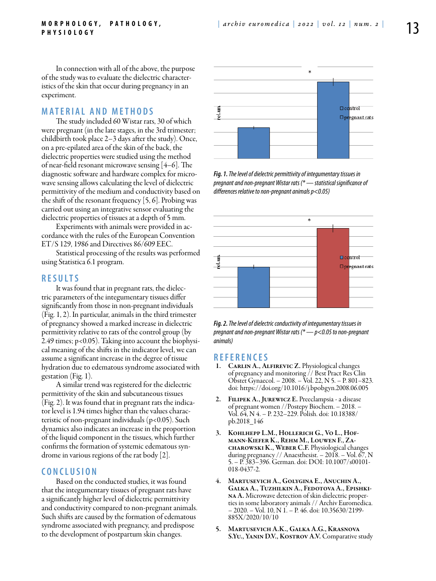In connection with all of the above, the purpose of the study was to evaluate the dielectric characteristics of the skin that occur during pregnancy in an experiment.

## **Mat e rial a n d me t h o d s**

The study included 60 Wistar rats, 30 of which were pregnant (in the late stages, in the 3rd trimester; childbirth took place 2–3 days after the study). Once, on a pre-epilated area of the skin of the back, the dielectric properties were studied using the method of near-field resonant microwave sensing [4–6]. The diagnostic software and hardware complex for microwave sensing allows calculating the level of dielectric permittivity of the medium and conductivity based on the shift of the resonant frequency [5, 6]. Probing was carried out using an integrative sensor evaluating the dielectric properties of tissues at a depth of 5 mm.

Experiments with animals were provided in accordance with the rules of the European Convention ET/S 129, 1986 and Directives 86/609 EEC.

Statistical processing of the results was performed using Statistica 6.1 program.

### **R e s ult s**

It was found that in pregnant rats, the dielectric parameters of the integumentary tissues differ significantly from those in non-pregnant individuals (Fig. 1, 2). In particular, animals in the third trimester of pregnancy showed a marked increase in dielectric permittivity relative to rats of the control group (by 2.49 times; p<0.05). Taking into account the biophysical meaning of the shifts in the indicator level, we can assume a significant increase in the degree of tissue hydration due to edematous syndrome associated with gestation (Fig. 1).

A similar trend was registered for the dielectric permittivity of the skin and subcutaneous tissues (Fig. 2). It was found that in pregnant rats the indicator level is 1.94 times higher than the values characteristic of non-pregnant individuals (p<0.05). Such dynamics also indicates an increase in the proportion of the liquid component in the tissues, which further confirms the formation of systemic edematous syndrome in various regions of the rat body [2].

## **C o n clu si o n**

Based on the conducted studies, it was found that the integumentary tissues of pregnant rats have a significantly higher level of dielectric permittivity and conductivity compared to non-pregnant animals. Such shifts are caused by the formation of edematous syndrome associated with pregnancy, and predispose to the development of postpartum skin changes.



*Fig. 1. The level of dielectric permittivity of integumentary tissues in pregnant and non-pregnant Wistar rats (\* — statistical significance of differences relative to non-pregnant animals p<0.05)*



*Fig. 2. The level of dielectric conductivity of integumentary tissues in pregnant and non-pregnant Wistar rats (\* — p<0.05 to non-pregnant animals)*

### **R efe r e n ce s**

- 1. CARLIN A., ALFIREVIC Z. Physiological changes of pregnancy and monitoring // Best Pract Res Clin Obstet Gynaecol. – 2008. – Vol. 22, N 5. – P. 801–823. doi: https://doi.org/10.1016/j.bpobgyn.2008.06.005
- 2. Filipek A., Jurewicz E. Preeclampsia a disease of pregnant women //Postepy Biochem. – 2018. – Vol. 64, N 4. – P. 232–229. Polish. doi: 10.18388/ pb.2018\_146
- 3. KOHLHEPP L.M., HOLLERICH G., VO L., HOFmann-Kiefer K., Rehm M., Louwen F., Zacharowski K., Weber C.F. Physiological changes during pregnancy // Anaesthesist. – 2018. – Vol. 67, N 5. – P. 383–396. German. doi: DOI: 10.1007/s00101- 018-0437-2.
- 4. Martusevich A., Golygina E., Anuchin A., Galka A., Tuzhilkin A., Fedotova A., Epishkina A. Microwave detection of skin dielectric properties in some laboratory animals // Archiv Euromedica. – 2020. – Vol. 10, N 1. – P. 46. doi: 10.35630/2199- 885X/2020/10/10
- 5. Martusevich A.K., Galka A.G., Krasnova S.Yu., Yanin D.V., Kostrov A.V. Comparative study